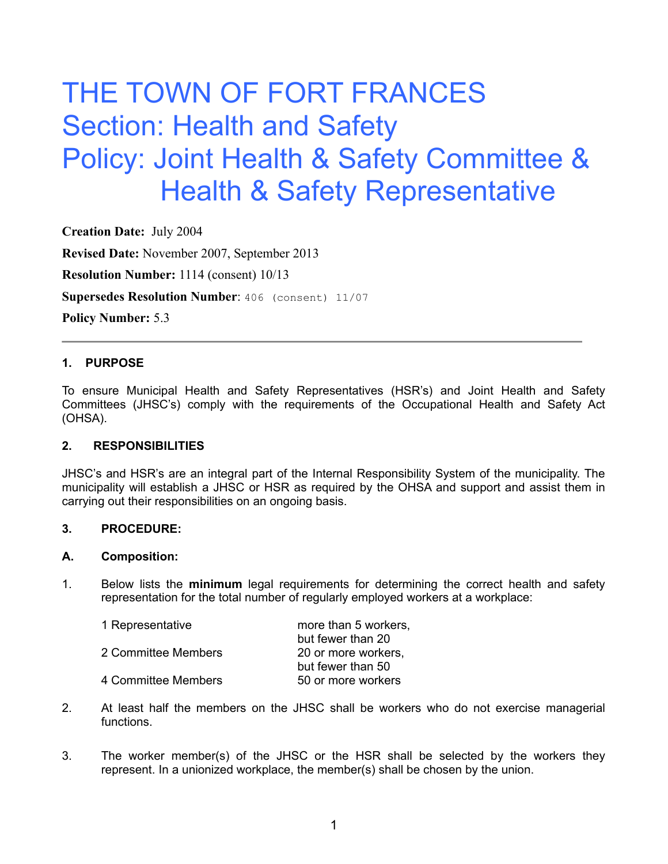# THE TOWN OF FORT FRANCES Section: Health and Safety Policy: Joint Health & Safety Committee & Health & Safety Representative

**Creation Date:** July 2004 **Revised Date:** November 2007, September 2013 **Resolution Number:** 1114 (consent) 10/13 **Supersedes Resolution Number**: 406 (consent) 11/07 **Policy Number:** 5.3

### **1. PURPOSE**

To ensure Municipal Health and Safety Representatives (HSR's) and Joint Health and Safety Committees (JHSC's) comply with the requirements of the Occupational Health and Safety Act (OHSA).

#### **2. RESPONSIBILITIES**

JHSC's and HSR's are an integral part of the Internal Responsibility System of the municipality. The municipality will establish a JHSC or HSR as required by the OHSA and support and assist them in carrying out their responsibilities on an ongoing basis.

#### **3. PROCEDURE:**

#### **A. Composition:**

1. Below lists the **minimum** legal requirements for determining the correct health and safety representation for the total number of regularly employed workers at a workplace:

| more than 5 workers. |
|----------------------|
| but fewer than 20    |
| 20 or more workers.  |
| but fewer than 50    |
| 50 or more workers   |
|                      |

- 2. At least half the members on the JHSC shall be workers who do not exercise managerial functions.
- 3. The worker member(s) of the JHSC or the HSR shall be selected by the workers they represent. In a unionized workplace, the member(s) shall be chosen by the union.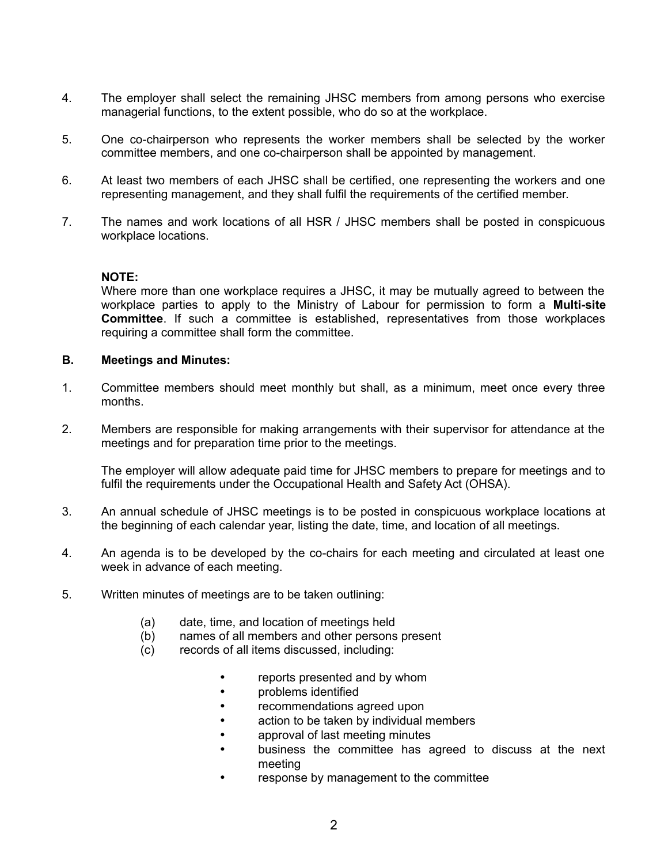- 4. The employer shall select the remaining JHSC members from among persons who exercise managerial functions, to the extent possible, who do so at the workplace.
- 5. One co-chairperson who represents the worker members shall be selected by the worker committee members, and one co-chairperson shall be appointed by management.
- 6. At least two members of each JHSC shall be certified, one representing the workers and one representing management, and they shall fulfil the requirements of the certified member.
- 7. The names and work locations of all HSR / JHSC members shall be posted in conspicuous workplace locations.

### **NOTE:**

Where more than one workplace requires a JHSC, it may be mutually agreed to between the workplace parties to apply to the Ministry of Labour for permission to form a **Multi-site Committee**. If such a committee is established, representatives from those workplaces requiring a committee shall form the committee.

## **B. Meetings and Minutes:**

- 1. Committee members should meet monthly but shall, as a minimum, meet once every three months.
- 2. Members are responsible for making arrangements with their supervisor for attendance at the meetings and for preparation time prior to the meetings.

The employer will allow adequate paid time for JHSC members to prepare for meetings and to fulfil the requirements under the Occupational Health and Safety Act (OHSA).

- 3. An annual schedule of JHSC meetings is to be posted in conspicuous workplace locations at the beginning of each calendar year, listing the date, time, and location of all meetings.
- 4. An agenda is to be developed by the co-chairs for each meeting and circulated at least one week in advance of each meeting.
- 5. Written minutes of meetings are to be taken outlining:
	- (a) date, time, and location of meetings held
	- (b) names of all members and other persons present
	- (c) records of all items discussed, including:
		- reports presented and by whom
		- problems identified
		- recommendations agreed upon
		- action to be taken by individual members
		- approval of last meeting minutes
		- business the committee has agreed to discuss at the next meeting
		- response by management to the committee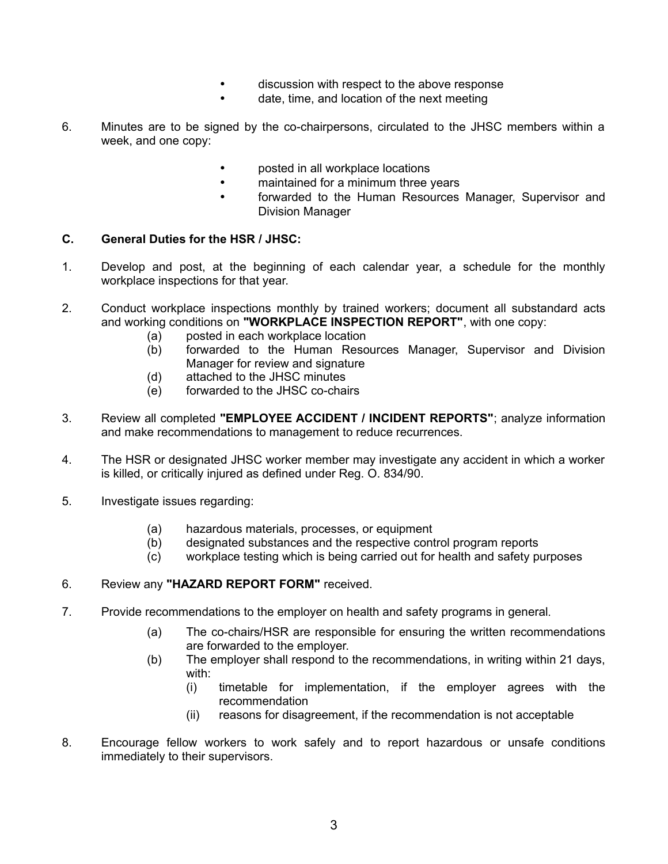- discussion with respect to the above response
- date, time, and location of the next meeting
- 6. Minutes are to be signed by the co-chairpersons, circulated to the JHSC members within a week, and one copy:
	- posted in all workplace locations
	- maintained for a minimum three years
	- forwarded to the Human Resources Manager, Supervisor and Division Manager

### **C. General Duties for the HSR / JHSC:**

- 1. Develop and post, at the beginning of each calendar year, a schedule for the monthly workplace inspections for that year.
- 2. Conduct workplace inspections monthly by trained workers; document all substandard acts and working conditions on **"WORKPLACE INSPECTION REPORT"**, with one copy:
	- (a) posted in each workplace location
	- (b) forwarded to the Human Resources Manager, Supervisor and Division Manager for review and signature
	- (d) attached to the JHSC minutes
	- (e) forwarded to the JHSC co-chairs
- 3. Review all completed **"EMPLOYEE ACCIDENT / INCIDENT REPORTS"**; analyze information and make recommendations to management to reduce recurrences.
- 4. The HSR or designated JHSC worker member may investigate any accident in which a worker is killed, or critically injured as defined under Reg. O. 834/90.
- 5. Investigate issues regarding:
	- (a) hazardous materials, processes, or equipment
	- (b) designated substances and the respective control program reports
	- (c) workplace testing which is being carried out for health and safety purposes

#### 6. Review any **"HAZARD REPORT FORM"** received.

- 7. Provide recommendations to the employer on health and safety programs in general.
	- (a) The co-chairs/HSR are responsible for ensuring the written recommendations are forwarded to the employer.
	- (b) The employer shall respond to the recommendations, in writing within 21 days, with:
		- (i) timetable for implementation, if the employer agrees with the recommendation
		- (ii) reasons for disagreement, if the recommendation is not acceptable
- 8. Encourage fellow workers to work safely and to report hazardous or unsafe conditions immediately to their supervisors.